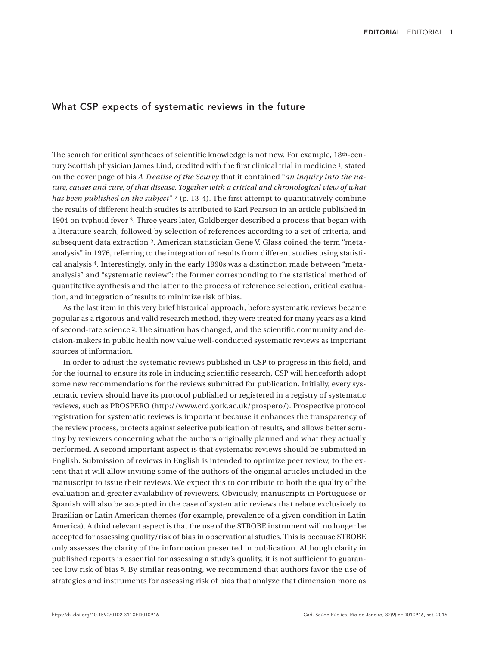## What CSP expects of systematic reviews in the future

The search for critical syntheses of scientific knowledge is not new. For example, 18th-century Scottish physician James Lind, credited with the first clinical trial in medicine 1, stated on the cover page of his *A Treatise of the Scurvy* that it contained "*an inquiry into the nature, causes and cure, of that disease. Together with a critical and chronological view of what has been published on the subject*" 2 (p. 13-4). The first attempt to quantitatively combine the results of different health studies is attributed to Karl Pearson in an article published in 1904 on typhoid fever 3. Three years later, Goldberger described a process that began with a literature search, followed by selection of references according to a set of criteria, and subsequent data extraction 2. American statistician Gene V. Glass coined the term "metaanalysis" in 1976, referring to the integration of results from different studies using statistical analysis 4. Interestingly, only in the early 1990s was a distinction made between "metaanalysis" and "systematic review": the former corresponding to the statistical method of quantitative synthesis and the latter to the process of reference selection, critical evaluation, and integration of results to minimize risk of bias.

As the last item in this very brief historical approach, before systematic reviews became popular as a rigorous and valid research method, they were treated for many years as a kind of second-rate science 2. The situation has changed, and the scientific community and decision-makers in public health now value well-conducted systematic reviews as important sources of information.

In order to adjust the systematic reviews published in CSP to progress in this field, and for the journal to ensure its role in inducing scientific research, CSP will henceforth adopt some new recommendations for the reviews submitted for publication. Initially, every systematic review should have its protocol published or registered in a registry of systematic reviews, such as PROSPERO (http://www.crd.york.ac.uk/prospero/). Prospective protocol registration for systematic reviews is important because it enhances the transparency of the review process, protects against selective publication of results, and allows better scrutiny by reviewers concerning what the authors originally planned and what they actually performed. A second important aspect is that systematic reviews should be submitted in English. Submission of reviews in English is intended to optimize peer review, to the extent that it will allow inviting some of the authors of the original articles included in the manuscript to issue their reviews. We expect this to contribute to both the quality of the evaluation and greater availability of reviewers. Obviously, manuscripts in Portuguese or Spanish will also be accepted in the case of systematic reviews that relate exclusively to Brazilian or Latin American themes (for example, prevalence of a given condition in Latin America). A third relevant aspect is that the use of the STROBE instrument will no longer be accepted for assessing quality/risk of bias in observational studies. This is because STROBE only assesses the clarity of the information presented in publication. Although clarity in published reports is essential for assessing a study's quality, it is not sufficient to guarantee low risk of bias 5. By similar reasoning, we recommend that authors favor the use of strategies and instruments for assessing risk of bias that analyze that dimension more as